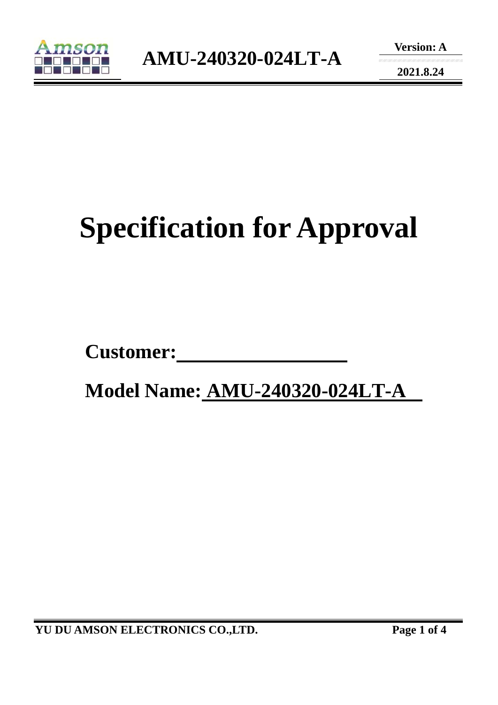

**2021.8.24** 

# **Specification for Approval**

Customer:

 **Model Name: AMU-240320-024LT-A**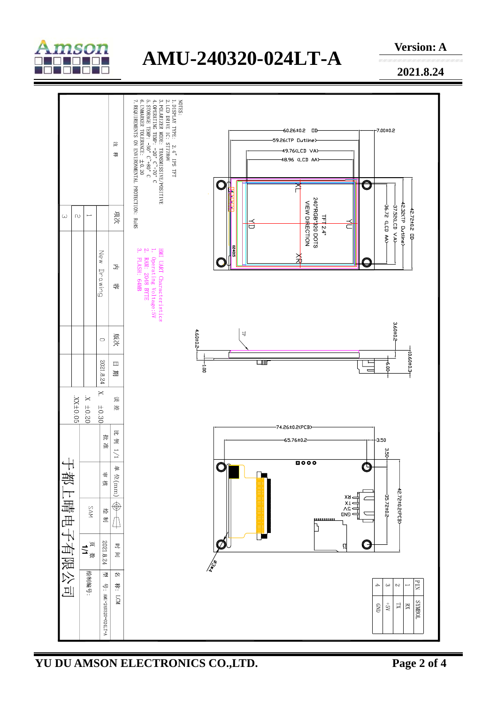

## **AMU-240320-024LT-A**

**Version: A** 

**2021.8.24** 

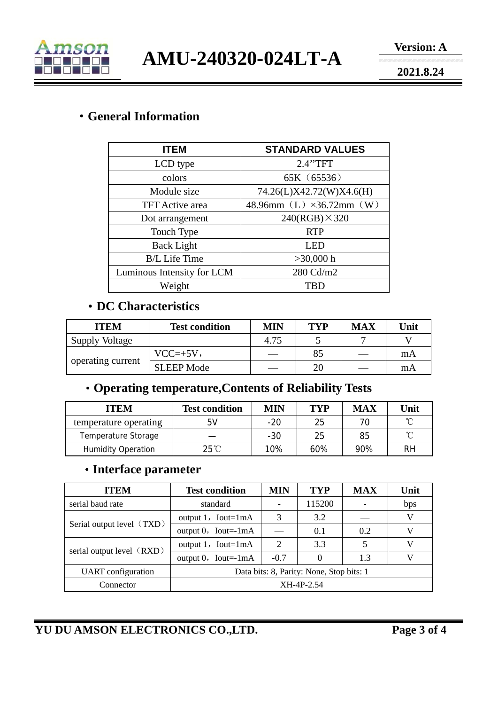

**AMU-240320-024LT-A** 

**2021.8.24** 

#### ·**General Information**

| <b>ITEM</b>                | <b>STANDARD VALUES</b>   |  |  |  |
|----------------------------|--------------------------|--|--|--|
| LCD type                   | 2.4"TFT                  |  |  |  |
| colors                     | 65K (65536)              |  |  |  |
| Module size                | 74.26(L)X42.72(W)X4.6(H) |  |  |  |
| <b>TFT</b> Active area     | 48.96mm (L) ×36.72mm (W) |  |  |  |
| Dot arrangement            | $240(RGB) \times 320$    |  |  |  |
| Touch Type                 | <b>RTP</b>               |  |  |  |
| <b>Back Light</b>          | <b>LED</b>               |  |  |  |
| <b>B/L</b> Life Time       | $>30,000$ h              |  |  |  |
| Luminous Intensity for LCM | 280 Cd/m2                |  |  |  |
| Weight                     | <b>TBD</b>               |  |  |  |

#### ·**DC Characteristics**

| <b>ITEM</b>           | <b>Test condition</b> | <b>MIN</b> | <b>TYP</b> | <b>MAX</b> | Unit |
|-----------------------|-----------------------|------------|------------|------------|------|
| <b>Supply Voltage</b> |                       | 4.75       |            |            |      |
| operating current     | $VCC=+5V$ ,           |            | 85         |            | mA   |
|                       | <b>SLEEP Mode</b>     |            | 20         |            | mA   |

### ·**Operating temperature,Contents of Reliability Tests**

| <b>ITEM</b>               | <b>Test condition</b> | <b>MIN</b> | TYP | <b>MAX</b> | Unit |
|---------------------------|-----------------------|------------|-----|------------|------|
| temperature operating     | 5V                    | $-20$      | 25  |            | ∽    |
| Temperature Storage       |                       | $-30$      | 25  | 85         | ∽    |
| <b>Humidity Operation</b> | $25^{\circ}$ C        | 10%        | 60% | 90%        | RH   |

#### ·**Interface parameter**

| <b>ITEM</b>               | <b>Test condition</b>                    | <b>MIN</b>                  | <b>TYP</b> | <b>MAX</b> | Unit |
|---------------------------|------------------------------------------|-----------------------------|------------|------------|------|
| serial baud rate          | standard                                 |                             | 115200     |            | bps  |
| Serial output level (TXD) | output $1$ , Iout=1mA                    | 3                           | 3.2        |            | V    |
|                           | output $0$ , Iout=-1mA                   |                             | 0.1        | 0.2        |      |
| serial output level (RXD) | output $1$ , Iout=1mA                    | $\mathcal{D}_{\mathcal{L}}$ | 3.3        |            | V    |
|                           | output $0$ , Iout=-1mA                   | $-0.7$                      |            | 1.3        |      |
| <b>UART</b> configuration | Data bits: 8, Parity: None, Stop bits: 1 |                             |            |            |      |
| Connector                 | XH-4P-2.54                               |                             |            |            |      |